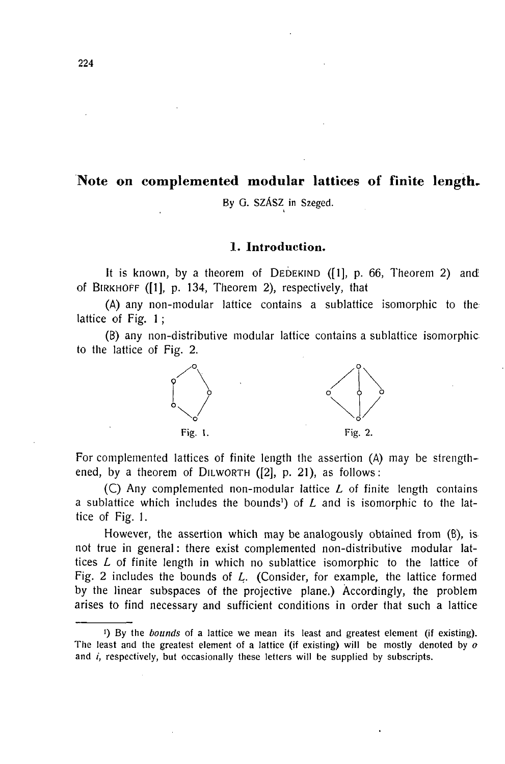# **Note on complemented modular lattices of finite length-**

**By G. SZÁSZ in Szeged.**  I

## **1. Introduction.**

It is known, by a theorem of DEDEKIND  $(1]$ , p. 66, Theorem 2) and of BIRKHOFF ( $[1]$ , p. 134, Theorem 2), respectively, that

(A) any non-modular lattice contains a sublattice isomorphic to the lattice of Fig. 1 ;

(B) any non-distributive modular lattice contains a sublattice isomorphic to the lattice of Fig. 2.



For complemented lattices of finite length the assertion (A) may be strengthened, by a theorem of DILWORTH ([2], p. 21), as follows:

(C) Any complemented non-modular lattice *L* of finite length contains a sublattice which includes the bounds<sup>1</sup>) of *L* and is isomorphic to the lattice of Fig. 1.

However, the assertion which may be analogously obtained from (B), is not true in general : there exist complemented non-distributive modular lattices *L* of finite length in which no sublattice isomorphic to the lattice of Fig. 2 includes the bounds of *L.* (Consider, for example, the lattice formed by the linear subspaces of the projective plane.) Accordingly, the problem arises to find necessary and sufficient conditions in order that such a lattice

**224-**

**<sup>!)</sup> By the** *bounds* **of a lattice w e mean its least and greatest element (if existing).**  The least and the greatest element of a lattice (if existing) will be mostly denoted by  $o$ and *i*, respectively, but occasionally these letters will be supplied by subscripts.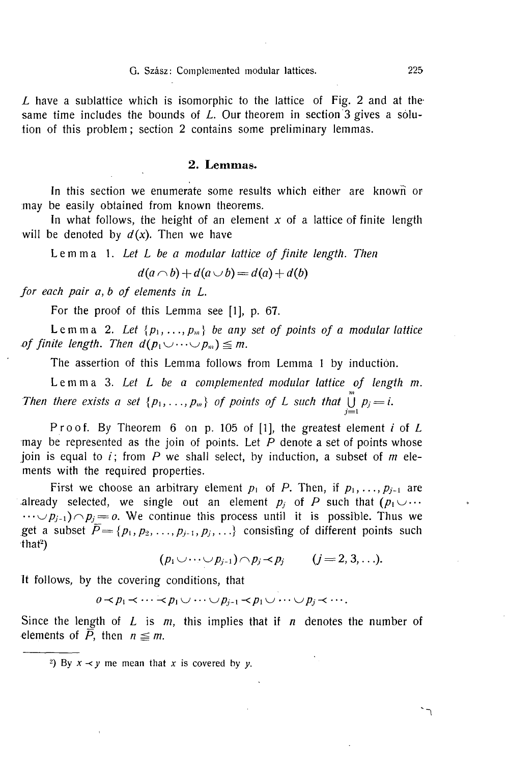#### **G. Szász: Complemented modular lattices. 225**

*L* have a sublattice which is isomorphic to the lattice of Fig. 2 and at the same time includes the bounds of *L*. Our theorem in section 3 gives a solution of this problem; section 2 contains some preliminary lemmas.

# **2. Lemmas.**

In this section we enumerate some results which either are known or may be easily obtained from known theorems.

In what follows, the height of an element  $x$  of a lattice of finite length will be denoted by  $d(x)$ . Then we have

*Lemma 1. Let L be a modular lattice of finite length. Then d(a r^b) + d(a ui) = d(a) + d(b)* 

$$
d(a \cap b) + d(a \cup b) = d(a) + d(b)
$$

*for each pair a, b of elements in L.* 

For the proof of this Lemma see [1], p. 67.

Lemma 2. Let  $\{p_1, \ldots, p_m\}$  be any set of points of a modular lattice *of finite length. Then*  $d(p_1 \cup \cdots \cup p_m) \leq m$ *.* 

The assertion of this Lemma follows from Lemma 1 by induction.

Lemm a 3. *Let L be a complemented modular lattice of length m. Then there exists a set*  $\{p_1, \ldots, p_m\}$  *of points of L such that*  $\bigcup_{j=1}^m p_j = i$ .

Proof. By Theorem 6 on p. 105 of [1], the greatest element *i* of *L* may be represented as the join of points. Let *P* denote a set of points whose join is equal to *i;* from *P* we shall select, by induction, a subset of *m* elements with the required properties.

First we choose an arbitrary element  $p_1$  of P. Then, if  $p_1, \ldots, p_{j-1}$  are already selected, we single out an element  $p_i$  of P such that  $(p_1 \cup \cdots$  $\cdots \smile p_{j-1}$ )  $\cap$   $p_j = o$ . We continue this process until it is possible. Thus we get a subset  $\overline{P} = \{p_1, p_2, ..., p_{j-1}, p_j, ...\}$  consisting of different points such  $\text{that}^2$ )

$$
(p_1\cup\cdots\cup p_{j-1})\cap p_j\prec p_j \qquad (j=2,3,\ldots).
$$

It follows, by the covering conditions, that

 $\overline{p}_1 \lt \cdots \lt p_p \lt \cdots \lt p_{j-1} \lt p_1 \cup \cdots \cup p_j \lt \cdots.$ 

Since the length of *L* is *m,* this implies that if *n* denotes the number of elements of  $\overline{P}$ , then  $n \leq m$ .

<sup>&</sup>lt;sup>2</sup>) By  $x \prec y$  me mean that x is covered by *y*.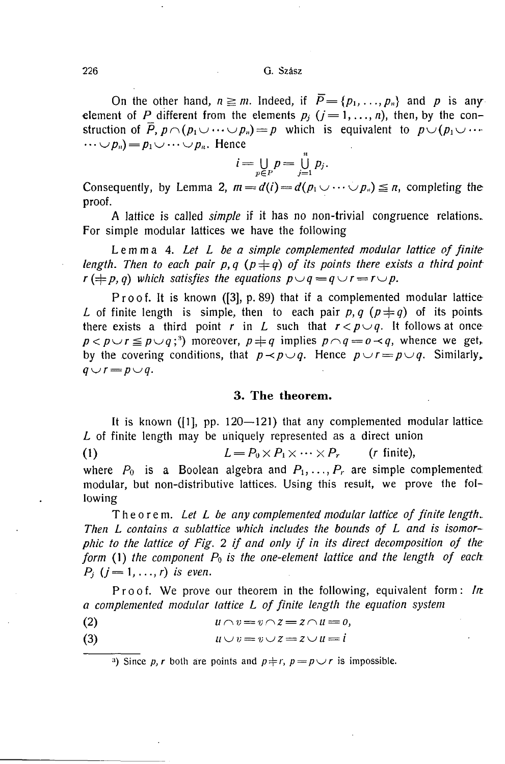On the other hand,  $n \ge m$ . Indeed, if  $\overline{P} = \{p_1, \ldots, p_n\}$  and p is any element of *P* different from the elements  $p_i$  ( $j = 1, ..., n$ ), then, by the construction of  $\overline{P}$ ,  $p \cap (p_1 \cup \cdots \cup p_n) = p$  which is equivalent to  $p \cup (p_1 \cup \cdots$  $\cdots \cup p_n) = p_1 \cup \cdots \cup p_n$ . Hence

$$
i=\bigcup_{p\in P}p=\bigcup_{j=1}^n p_j.
$$

Consequently, by Lemma 2,  $m=d(i) = d(p_1 \cup \cdots \cup p_n) \leq n$ , completing the consequently, by Lemma 2, m  $\frac{1}{2}$  *d*  $\frac{1}{2}$  *d*  $\frac{1}{2}$  *d*  $\frac{1}{2}$  *d*  $\frac{1}{2}$  *d*  $\frac{1}{2}$  *d*  $\frac{1}{2}$  *d*  $\frac{1}{2}$  *d*  $\frac{1}{2}$  *d*  $\frac{1}{2}$  *d*  $\frac{1}{2}$  *d*  $\frac{1}{2}$  *d*  $\$ 

A lattice is called *simple* if it has no non-trivial congruence relations. For simple modular lattices we have the following.

 $L$ emma 4. Let  $L$  be a simple complemented modular lattice of finite *length. Then to each pair p, q (p*  $\neq$  *q) of its points there exists a third point length. Then to each pair p,q* (p =j= *q) of its points there exists a third point r* ( $\frac{1}{2}$  *p*,  $\frac{1}{2}$  *p*,  $\frac{1}{2}$  *p*,  $\frac{1}{2}$  *p*,  $\frac{1}{2}$  *p*. *r*  $\frac{1}{2}$  *p.*  $\frac{1}{2}$  *p.*  $\frac{1}{2}$  *p.*  $\frac{1}{2}$  *p.*  $\frac{1}{2}$  *p.*  $\frac{1}{2}$  *p.*  $\frac{1}{2}$  *p.*  $\frac{1}{2}$  *p.*  $\frac{1}{2}$  *p.*  $\$ 

Proof. It is known ([3], p. 89) that if a complemented modular lattice *L* of finite length is simple, then to each pair p, q  $(p \neq q)$  of its points there exists a third point r in L such that  $r < p \cup q$ . It follows at once  $p < p \cup r \leq p \cup q$ ;<sup>3</sup>) moreover,  $p \neq q$  implies  $p \cap q = 0 \prec q$ , whence we get, by the covering conditions, that  $p \lt p \cup q$ . Hence  $p \cup r = p \cup q$ . Similarly,  $q \cup r = p \cup q$ .

#### **3. The theorem.**

It is known  $(1]$ , pp. 120-121) that any complemented modular lattice *L* of finite length may be uniquely represented as a direct union

(1)  $L = P_0 \times P_1 \times \cdots \times P_r$  (r finite), where  $P_0$  is a Boolean algebra and  $P_1, \ldots, P_r$  are simple complemented, modular, but non-distributive lattices. Using this result, we prove the following

*Theorem. Let L be any complemented modular lattice of finite length-Then L contains a sublattice which includes the bounds of L and is isomorphic to the lattice of Fig. 2 if and only if in its direct decomposition of the form* (1) *the component Po is the one-element lattice and the length of each. P<sub>i</sub>*  $(j = 1, ..., r)$  *is even.* 

Proof. We prove our theorem in the following, equivalent form:  $ln$ *a complemented modular lattice L of finite length the equation system* 

(2)  $u \cap v = v \cap z = z \cap u = 0,$ 

$$
(3) \t u \cup v = v \cup z = z \cup u = i
$$

**3)** Since *p, r* both are points and  $p \neq r$ ,  $p = p \cup r$  is impossible.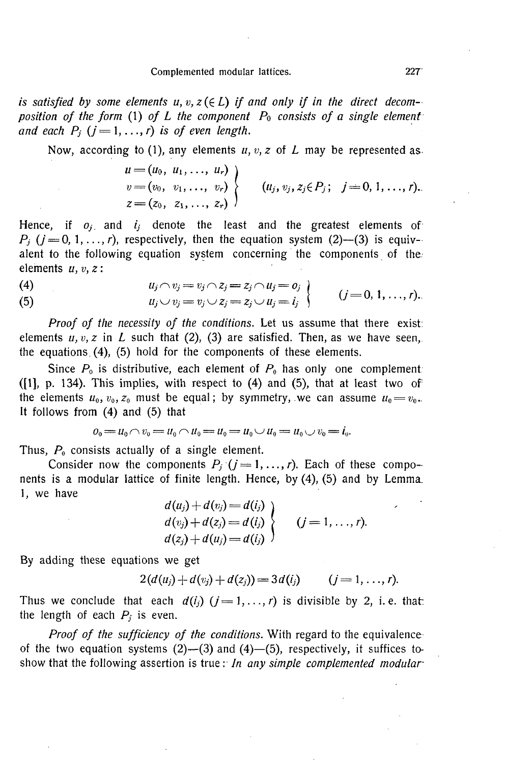is satisfied by some elements  $u, v, z \in L$  if and only if in the direct decom*position of the form* (1) *of L the component Po consists of a single element*  and each  $P_i$   $(j = 1, ..., r)$  is of even length.

Now, according to (1), any elements *u*, *v*, *z* of *L* may be represented as.

$$
\begin{array}{l}\nu=(u_0, u_1, \ldots, u_r) \\
v=(v_0, v_1, \ldots, v_r) \\
z=(z_0, z_1, \ldots, z_r)\n\end{array}\n\bigg\} \qquad (u_j, v_j, z_j \in P_j; \quad j=0, 1, \ldots, r).
$$

Hence, if  $o_i$  and  $i_j$  denote the least and the greatest elements of  $P_i$  ( $j = 0, 1, \ldots, r$ ), respectively, then the equation system (2)--(3) is equivalent to the following equation system concerning the components of the elements  $u, v, z$ :

(4) 
$$
u_j \wedge v_j = v_j \wedge z_j = z_j \wedge u_j = 0_j
$$

$$
u_j \vee v_j = v_j \vee z_j = z_j \vee u_j = i_j
$$

$$
(j = 0, 1, ..., r).
$$

*Proof of the necessity of the conditions.* Let us assume that there exist: elements  $u, v, z$  in  $L$  such that (2), (3) are satisfied. Then, as we have seen, the equations. (4), (5) hold for the components of these elements.

Since  $P_0$  is distributive, each element of  $P_0$  has only one complement: ( $[1]$ , p. 134). This implies, with respect to  $(4)$  and  $(5)$ , that at least two of the elements  $u_0, v_0, z_0$  must be equal; by symmetry, we can assume  $u_0 = v_0$ . It follows from (4) and (5) that

$$
0_0 = u_0 \cap v_0 = u_0 \cap u_0 = u_0 = u_0 \cup u_0 = u_0 \cup v_0 = i_0.
$$

Thus, *P0* consists actually of a single element.

Consider now the components  $P_j$  ( $j = 1, ..., r$ ). Each of these components is a modular lattice of finite length. Hence, by (4), (5) and by Lemma. 1, we have  $\mathcal{U} \times \mathcal{U}$  $\mathbf{z}$ 

$$
\left\{\n \begin{aligned}\n d(u_j) + d(v_j) &= d(l_j) \\
 d(v_j) + d(z_j) &= d(l_j) \\
 d(z_j) + d(u_j) &= d(l_j)\n \end{aligned}\n \right.\n \quad (j = 1, \ldots, r).
$$

By adding these equations we get

$$
2(d(uj)+d(vj)+d(zj))=3d(ij) \qquad (j=1,\ldots,r).
$$

Thus we conclude that each  $d(i_j)$   $(j = 1, ..., r)$  is divisible by 2, i.e. that: the length of each  $P_i$  is even.

*Proof of the sufficiency of the conditions.* With regard to the equivalence of the two equation systems  $(2)$ — $(3)$  and  $(4)$ — $(5)$ , respectively, it suffices toshow that the following assertion is true : *In any simple complemented modular*